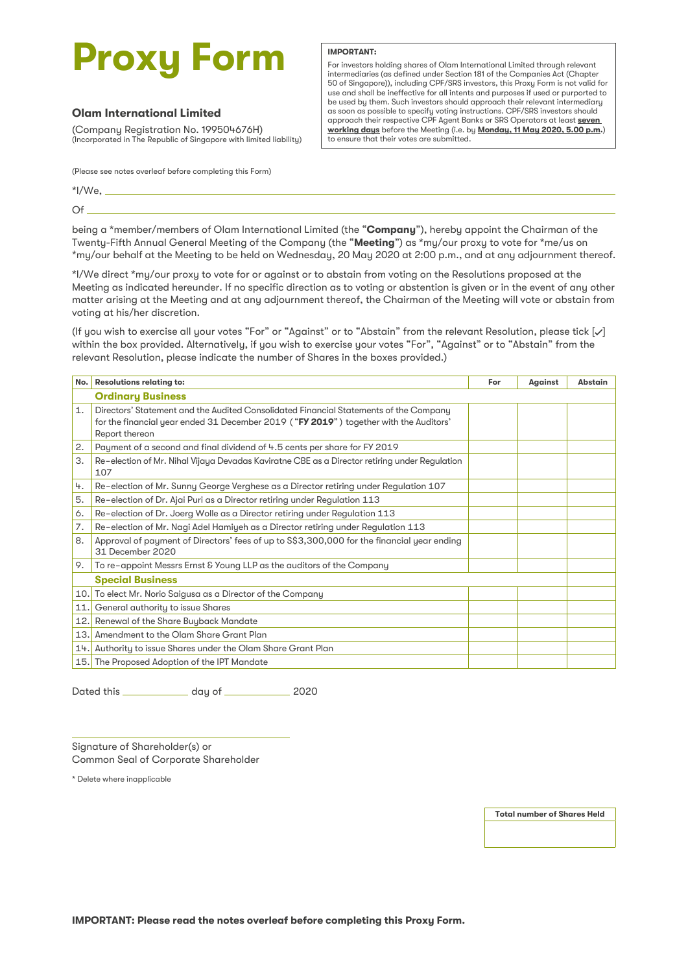# **Proxy Form**

## **Olam International Limited**

(Company Registration No. 199504676H) (Incorporated in The Republic of Singapore with limited liability)

For investors holding shares of Olam International Limited through relevant intermediaries (as defined under Section 181 of the Companies Act (Chapter 50 of Singapore)), including CPF/SRS investors, this Proxy Form is not valid for use and shall be ineffective for all intents and purposes if used or purported to be used by them. Such investors should approach their relevant intermediary as soon as possible to specify voting instructions. CPF/SRS investors should approach their respective CPF Agent Banks or SRS Operators at least **seven working days** before the Meeting (i.e. by **Monday, 11 May 2020, 5.00 p.m.**) to ensure that their votes are submitted.

(Please see notes overleaf before completing this Form)

 $*$ I/We,  $-$ 

Of

being a \*member/members of Olam International Limited (the "**Company**"), hereby appoint the Chairman of the Twenty-Fifth Annual General Meeting of the Company (the "**Meeting**") as \*my/our proxy to vote for \*me/us on \*my/our behalf at the Meeting to be held on Wednesday, 20 May 2020 at 2:00 p.m., and at any adjournment thereof.

**IMPORTANT:**

\*I/We direct \*my/our proxy to vote for or against or to abstain from voting on the Resolutions proposed at the Meeting as indicated hereunder. If no specific direction as to voting or abstention is given or in the event of any other matter arising at the Meeting and at any adjournment thereof, the Chairman of the Meeting will vote or abstain from voting at his/her discretion.

(If you wish to exercise all your votes "For" or "Against" or to "Abstain" from the relevant Resolution, please tick  $[\checkmark]$ within the box provided. Alternatively, if you wish to exercise your votes "For", "Against" or to "Abstain" from the relevant Resolution, please indicate the number of Shares in the boxes provided.)

|    | No. Resolutions relating to:                                                                                                                                                                     | For | Against | <b>Abstain</b> |
|----|--------------------------------------------------------------------------------------------------------------------------------------------------------------------------------------------------|-----|---------|----------------|
|    | <b>Ordinary Business</b>                                                                                                                                                                         |     |         |                |
| 1. | Directors' Statement and the Audited Consolidated Financial Statements of the Company<br>for the financial year ended 31 December 2019 ("FY 2019") together with the Auditors'<br>Report thereon |     |         |                |
| 2. | Payment of a second and final dividend of 4.5 cents per share for FY 2019                                                                                                                        |     |         |                |
| 3. | Re-election of Mr. Nihal Vijaya Devadas Kaviratne CBE as a Director retiring under Regulation<br>107                                                                                             |     |         |                |
| 4. | Re-election of Mr. Sunny George Verghese as a Director retiring under Regulation 107                                                                                                             |     |         |                |
| 5. | Re-election of Dr. Ajai Puri as a Director retiring under Regulation 113                                                                                                                         |     |         |                |
| 6. | Re-election of Dr. Joerg Wolle as a Director retiring under Regulation 113                                                                                                                       |     |         |                |
| 7. | Re-election of Mr. Nagi Adel Hamiyeh as a Director retiring under Regulation 113                                                                                                                 |     |         |                |
| 8. | Approval of payment of Directors' fees of up to S\$3,300,000 for the financial year ending<br>31 December 2020                                                                                   |     |         |                |
| 9. | To re-appoint Messrs Ernst & Young LLP as the auditors of the Company                                                                                                                            |     |         |                |
|    | <b>Special Business</b>                                                                                                                                                                          |     |         |                |
|    | 10. To elect Mr. Norio Saigusa as a Director of the Company                                                                                                                                      |     |         |                |
|    | 11. General authority to issue Shares                                                                                                                                                            |     |         |                |
|    | 12. Renewal of the Share Buyback Mandate                                                                                                                                                         |     |         |                |
|    | 13. Amendment to the Olam Share Grant Plan                                                                                                                                                       |     |         |                |
|    | 14. Authority to issue Shares under the Olam Share Grant Plan                                                                                                                                    |     |         |                |
|    | 15. The Proposed Adoption of the IPT Mandate                                                                                                                                                     |     |         |                |

Dated this \_\_\_\_\_\_\_\_\_\_\_\_\_\_ day of \_\_\_\_\_\_\_\_\_\_\_\_\_\_\_ 2020

Signature of Shareholder(s) or Common Seal of Corporate Shareholder

\* Delete where inapplicable

**Total number of Shares Held**